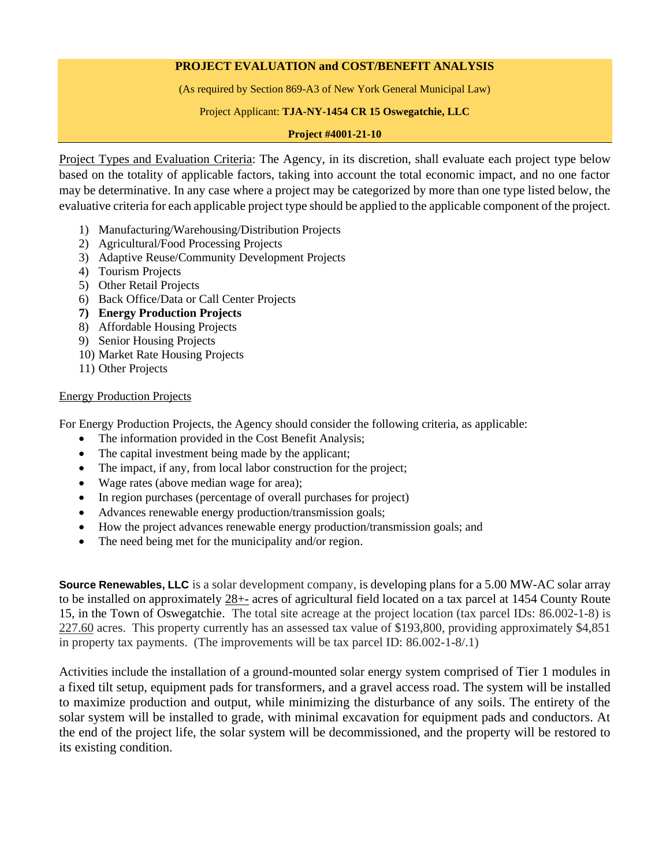# **PROJECT EVALUATION and COST/BENEFIT ANALYSIS**

(As required by Section 869-A3 of New York General Municipal Law)

### Project Applicant: **TJA-NY-1454 CR 15 Oswegatchie, LLC**

### **Project #4001-21-10**

Project Types and Evaluation Criteria: The Agency, in its discretion, shall evaluate each project type below based on the totality of applicable factors, taking into account the total economic impact, and no one factor may be determinative. In any case where a project may be categorized by more than one type listed below, the evaluative criteria for each applicable project type should be applied to the applicable component of the project.

- 1) Manufacturing/Warehousing/Distribution Projects
- 2) Agricultural/Food Processing Projects
- 3) Adaptive Reuse/Community Development Projects
- 4) Tourism Projects
- 5) Other Retail Projects
- 6) Back Office/Data or Call Center Projects
- **7) Energy Production Projects**
- 8) Affordable Housing Projects
- 9) Senior Housing Projects
- 10) Market Rate Housing Projects
- 11) Other Projects

## Energy Production Projects

For Energy Production Projects, the Agency should consider the following criteria, as applicable:

- The information provided in the Cost Benefit Analysis;
- The capital investment being made by the applicant;
- The impact, if any, from local labor construction for the project;
- Wage rates (above median wage for area);
- In region purchases (percentage of overall purchases for project)
- Advances renewable energy production/transmission goals;
- How the project advances renewable energy production/transmission goals; and
- The need being met for the municipality and/or region.

**Source Renewables, LLC** is a solar development company, is developing plans for a 5.00 MW-AC solar array to be installed on approximately 28+- acres of agricultural field located on a tax parcel at 1454 County Route 15, in the Town of Oswegatchie. The total site acreage at the project location (tax parcel IDs: 86.002-1-8) is 227.60 acres. This property currently has an assessed tax value of \$193,800, providing approximately \$4,851 in property tax payments. (The improvements will be tax parcel ID: 86.002-1-8/.1)

Activities include the installation of a ground-mounted solar energy system comprised of Tier 1 modules in a fixed tilt setup, equipment pads for transformers, and a gravel access road. The system will be installed to maximize production and output, while minimizing the disturbance of any soils. The entirety of the solar system will be installed to grade, with minimal excavation for equipment pads and conductors. At the end of the project life, the solar system will be decommissioned, and the property will be restored to its existing condition.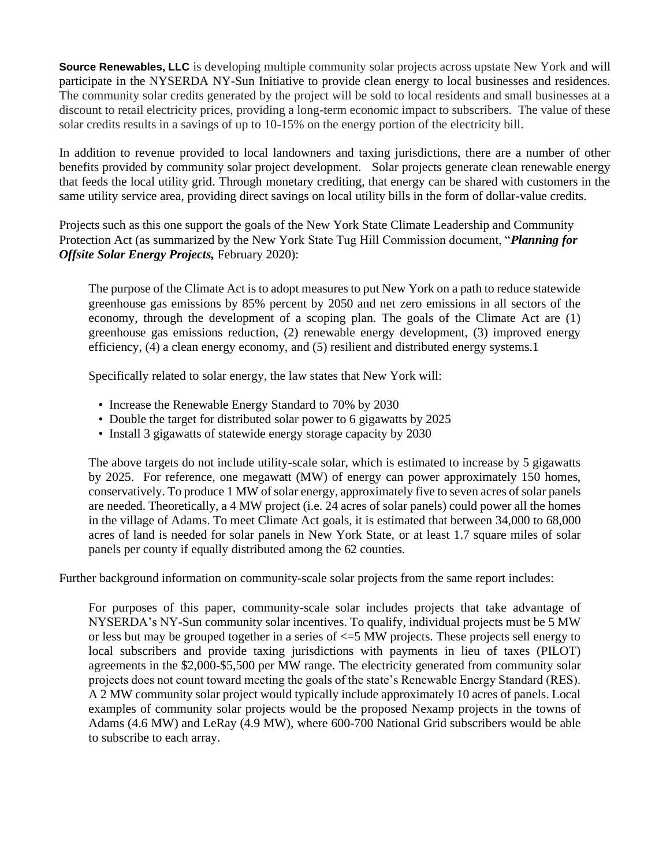**Source Renewables, LLC** is developing multiple community solar projects across upstate New York and will participate in the NYSERDA NY-Sun Initiative to provide clean energy to local businesses and residences. The community solar credits generated by the project will be sold to local residents and small businesses at a discount to retail electricity prices, providing a long-term economic impact to subscribers. The value of these solar credits results in a savings of up to 10-15% on the energy portion of the electricity bill.

In addition to revenue provided to local landowners and taxing jurisdictions, there are a number of other benefits provided by community solar project development. Solar projects generate clean renewable energy that feeds the local utility grid. Through monetary crediting, that energy can be shared with customers in the same utility service area, providing direct savings on local utility bills in the form of dollar-value credits.

Projects such as this one support the goals of the New York State Climate Leadership and Community Protection Act (as summarized by the New York State Tug Hill Commission document, "*Planning for Offsite Solar Energy Projects,* February 2020):

The purpose of the Climate Act is to adopt measures to put New York on a path to reduce statewide greenhouse gas emissions by 85% percent by 2050 and net zero emissions in all sectors of the economy, through the development of a scoping plan. The goals of the Climate Act are (1) greenhouse gas emissions reduction, (2) renewable energy development, (3) improved energy efficiency, (4) a clean energy economy, and (5) resilient and distributed energy systems.1

Specifically related to solar energy, the law states that New York will:

- Increase the Renewable Energy Standard to 70% by 2030
- Double the target for distributed solar power to 6 gigawatts by 2025
- Install 3 gigawatts of statewide energy storage capacity by 2030

The above targets do not include utility-scale solar, which is estimated to increase by 5 gigawatts by 2025. For reference, one megawatt (MW) of energy can power approximately 150 homes, conservatively. To produce 1 MW of solar energy, approximately five to seven acres of solar panels are needed. Theoretically, a 4 MW project (i.e. 24 acres of solar panels) could power all the homes in the village of Adams. To meet Climate Act goals, it is estimated that between 34,000 to 68,000 acres of land is needed for solar panels in New York State, or at least 1.7 square miles of solar panels per county if equally distributed among the 62 counties.

Further background information on community-scale solar projects from the same report includes:

For purposes of this paper, community-scale solar includes projects that take advantage of NYSERDA's NY-Sun community solar incentives. To qualify, individual projects must be 5 MW or less but may be grouped together in a series of <=5 MW projects. These projects sell energy to local subscribers and provide taxing jurisdictions with payments in lieu of taxes (PILOT) agreements in the \$2,000-\$5,500 per MW range. The electricity generated from community solar projects does not count toward meeting the goals of the state's Renewable Energy Standard (RES). A 2 MW community solar project would typically include approximately 10 acres of panels. Local examples of community solar projects would be the proposed Nexamp projects in the towns of Adams (4.6 MW) and LeRay (4.9 MW), where 600-700 National Grid subscribers would be able to subscribe to each array.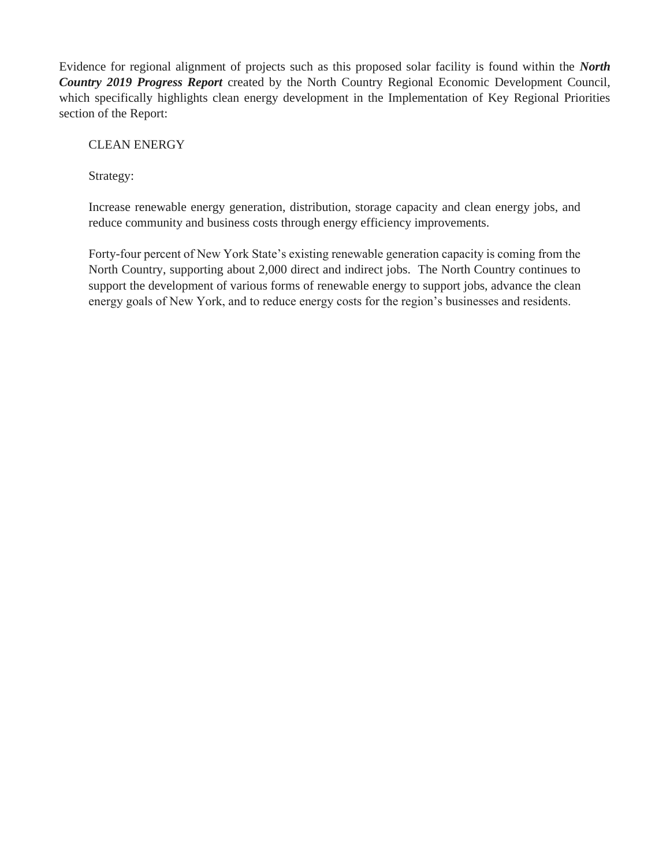Evidence for regional alignment of projects such as this proposed solar facility is found within the *North Country 2019 Progress Report* created by the North Country Regional Economic Development Council, which specifically highlights clean energy development in the Implementation of Key Regional Priorities section of the Report:

# CLEAN ENERGY

Strategy:

Increase renewable energy generation, distribution, storage capacity and clean energy jobs, and reduce community and business costs through energy efficiency improvements.

Forty-four percent of New York State's existing renewable generation capacity is coming from the North Country, supporting about 2,000 direct and indirect jobs. The North Country continues to support the development of various forms of renewable energy to support jobs, advance the clean energy goals of New York, and to reduce energy costs for the region's businesses and residents.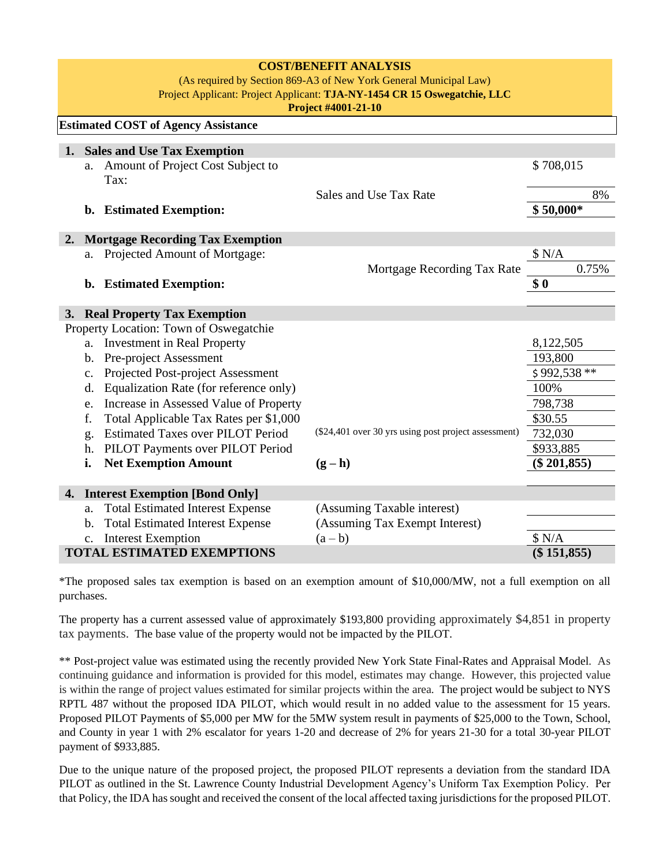| <b>COST/BENEFIT ANALYSIS</b><br>(As required by Section 869-A3 of New York General Municipal Law)<br>Project Applicant: Project Applicant: TJA-NY-1454 CR 15 Oswegatchie, LLC<br>Project #4001-21-10 |                                                    |                                                                                  |                                                      |               |  |  |  |  |  |
|------------------------------------------------------------------------------------------------------------------------------------------------------------------------------------------------------|----------------------------------------------------|----------------------------------------------------------------------------------|------------------------------------------------------|---------------|--|--|--|--|--|
|                                                                                                                                                                                                      |                                                    | <b>Estimated COST of Agency Assistance</b>                                       |                                                      |               |  |  |  |  |  |
|                                                                                                                                                                                                      |                                                    | 1. Sales and Use Tax Exemption                                                   |                                                      |               |  |  |  |  |  |
|                                                                                                                                                                                                      | a.                                                 | Amount of Project Cost Subject to<br>Tax:                                        |                                                      | \$708,015     |  |  |  |  |  |
|                                                                                                                                                                                                      |                                                    |                                                                                  | 8%                                                   |               |  |  |  |  |  |
|                                                                                                                                                                                                      | b.                                                 | <b>Estimated Exemption:</b>                                                      | $$50,000*$                                           |               |  |  |  |  |  |
| 2.                                                                                                                                                                                                   | <b>Mortgage Recording Tax Exemption</b>            |                                                                                  |                                                      |               |  |  |  |  |  |
|                                                                                                                                                                                                      | a.                                                 |                                                                                  | \$ N/A                                               |               |  |  |  |  |  |
|                                                                                                                                                                                                      |                                                    | Projected Amount of Mortgage:                                                    | Mortgage Recording Tax Rate                          | 0.75%         |  |  |  |  |  |
|                                                                                                                                                                                                      | <b>Estimated Exemption:</b><br>b.                  | \$0                                                                              |                                                      |               |  |  |  |  |  |
|                                                                                                                                                                                                      |                                                    |                                                                                  |                                                      |               |  |  |  |  |  |
|                                                                                                                                                                                                      |                                                    | 3. Real Property Tax Exemption                                                   |                                                      |               |  |  |  |  |  |
|                                                                                                                                                                                                      |                                                    | Property Location: Town of Oswegatchie                                           |                                                      |               |  |  |  |  |  |
|                                                                                                                                                                                                      | a.                                                 | <b>Investment in Real Property</b><br>Pre-project Assessment                     | 8,122,505                                            |               |  |  |  |  |  |
|                                                                                                                                                                                                      | b.                                                 | 193,800                                                                          |                                                      |               |  |  |  |  |  |
|                                                                                                                                                                                                      | c.                                                 | \$992,538 **                                                                     |                                                      |               |  |  |  |  |  |
|                                                                                                                                                                                                      | d.                                                 | Equalization Rate (for reference only)<br>Increase in Assessed Value of Property |                                                      | 100%          |  |  |  |  |  |
|                                                                                                                                                                                                      | e.                                                 | 798,738                                                                          |                                                      |               |  |  |  |  |  |
|                                                                                                                                                                                                      | f.                                                 | Total Applicable Tax Rates per \$1,000                                           |                                                      | \$30.55       |  |  |  |  |  |
|                                                                                                                                                                                                      | g.                                                 | <b>Estimated Taxes over PILOT Period</b>                                         | (\$24,401 over 30 yrs using post project assessment) | 732,030       |  |  |  |  |  |
|                                                                                                                                                                                                      | h.                                                 | PILOT Payments over PILOT Period                                                 |                                                      | \$933,885     |  |  |  |  |  |
|                                                                                                                                                                                                      | i.                                                 | <b>Net Exemption Amount</b>                                                      | $(g - h)$                                            | $(\$201,855)$ |  |  |  |  |  |
| <b>Interest Exemption [Bond Only]</b><br>4.                                                                                                                                                          |                                                    |                                                                                  |                                                      |               |  |  |  |  |  |
|                                                                                                                                                                                                      | a.                                                 | <b>Total Estimated Interest Expense</b>                                          | (Assuming Taxable interest)                          |               |  |  |  |  |  |
|                                                                                                                                                                                                      | b.                                                 | <b>Total Estimated Interest Expense</b>                                          | (Assuming Tax Exempt Interest)                       |               |  |  |  |  |  |
|                                                                                                                                                                                                      | $\mathbf{c}$ .                                     | <b>Interest Exemption</b>                                                        | $(a - b)$                                            | \$ N/A        |  |  |  |  |  |
|                                                                                                                                                                                                      | $(\$151,855)$<br><b>TOTAL ESTIMATED EXEMPTIONS</b> |                                                                                  |                                                      |               |  |  |  |  |  |

\*The proposed sales tax exemption is based on an exemption amount of \$10,000/MW, not a full exemption on all purchases.

The property has a current assessed value of approximately \$193,800 providing approximately \$4,851 in property tax payments. The base value of the property would not be impacted by the PILOT.

\*\* Post-project value was estimated using the recently provided New York State Final-Rates and Appraisal Model. As continuing guidance and information is provided for this model, estimates may change. However, this projected value is within the range of project values estimated for similar projects within the area. The project would be subject to NYS RPTL 487 without the proposed IDA PILOT, which would result in no added value to the assessment for 15 years. Proposed PILOT Payments of \$5,000 per MW for the 5MW system result in payments of \$25,000 to the Town, School, and County in year 1 with 2% escalator for years 1-20 and decrease of 2% for years 21-30 for a total 30-year PILOT payment of \$933,885.

Due to the unique nature of the proposed project, the proposed PILOT represents a deviation from the standard IDA PILOT as outlined in the St. Lawrence County Industrial Development Agency's Uniform Tax Exemption Policy. Per that Policy, the IDA has sought and received the consent of the local affected taxing jurisdictions for the proposed PILOT.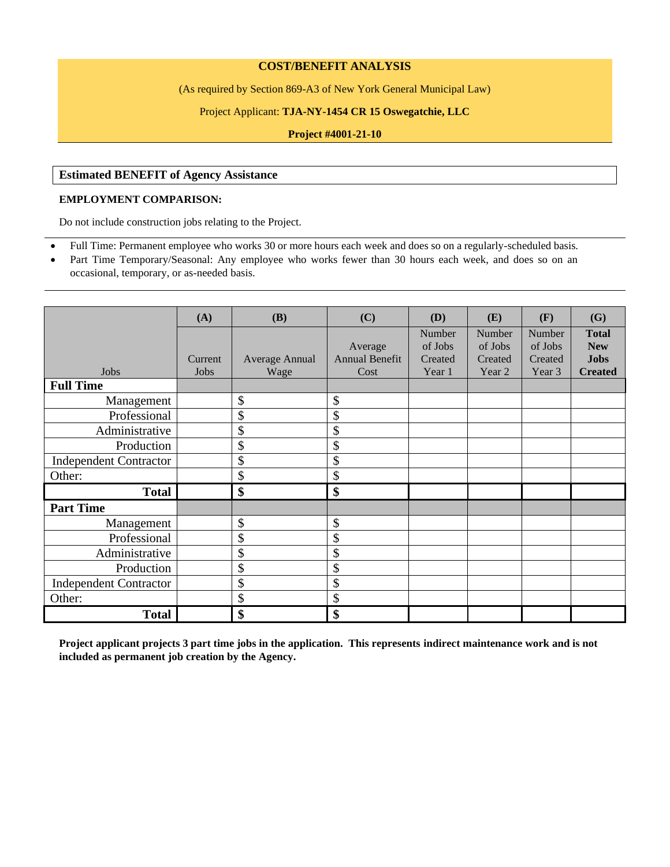#### **COST/BENEFIT ANALYSIS**

(As required by Section 869-A3 of New York General Municipal Law)

#### Project Applicant: **TJA-NY-1454 CR 15 Oswegatchie, LLC**

**Project #4001-21-10**

# **Estimated BENEFIT of Agency Assistance**

#### **EMPLOYMENT COMPARISON:**

Do not include construction jobs relating to the Project.

- Full Time: Permanent employee who works 30 or more hours each week and does so on a regularly-scheduled basis.
- Part Time Temporary/Seasonal: Any employee who works fewer than 30 hours each week, and does so on an occasional, temporary, or as-needed basis.

|                               | (A)     | (B)                       | (C)                   | (D)     | (E)     | (F)     | (G)            |
|-------------------------------|---------|---------------------------|-----------------------|---------|---------|---------|----------------|
|                               |         |                           |                       | Number  | Number  | Number  | <b>Total</b>   |
|                               |         |                           | Average               | of Jobs | of Jobs | of Jobs | <b>New</b>     |
|                               | Current | Average Annual            | <b>Annual Benefit</b> | Created | Created | Created | <b>Jobs</b>    |
| Jobs                          | Jobs    | Wage                      | Cost                  | Year 1  | Year 2  | Year 3  | <b>Created</b> |
| <b>Full Time</b>              |         |                           |                       |         |         |         |                |
| Management                    |         | \$                        | \$                    |         |         |         |                |
| Professional                  |         | \$                        | \$                    |         |         |         |                |
| Administrative                |         | \$                        | \$                    |         |         |         |                |
| Production                    |         | \$                        | \$                    |         |         |         |                |
| <b>Independent Contractor</b> |         | \$                        | \$                    |         |         |         |                |
| Other:                        |         | \$                        | \$                    |         |         |         |                |
| <b>Total</b>                  |         | $\boldsymbol{\mathsf{S}}$ | \$                    |         |         |         |                |
| <b>Part Time</b>              |         |                           |                       |         |         |         |                |
| Management                    |         | \$                        | \$                    |         |         |         |                |
| Professional                  |         | \$                        | \$                    |         |         |         |                |
| Administrative                |         | \$                        | \$                    |         |         |         |                |
| Production                    |         | \$                        | \$                    |         |         |         |                |
| <b>Independent Contractor</b> |         | \$                        | \$                    |         |         |         |                |
| Other:                        |         | \$                        | \$                    |         |         |         |                |
| <b>Total</b>                  |         | \$                        | \$                    |         |         |         |                |

**Project applicant projects 3 part time jobs in the application. This represents indirect maintenance work and is not included as permanent job creation by the Agency.**